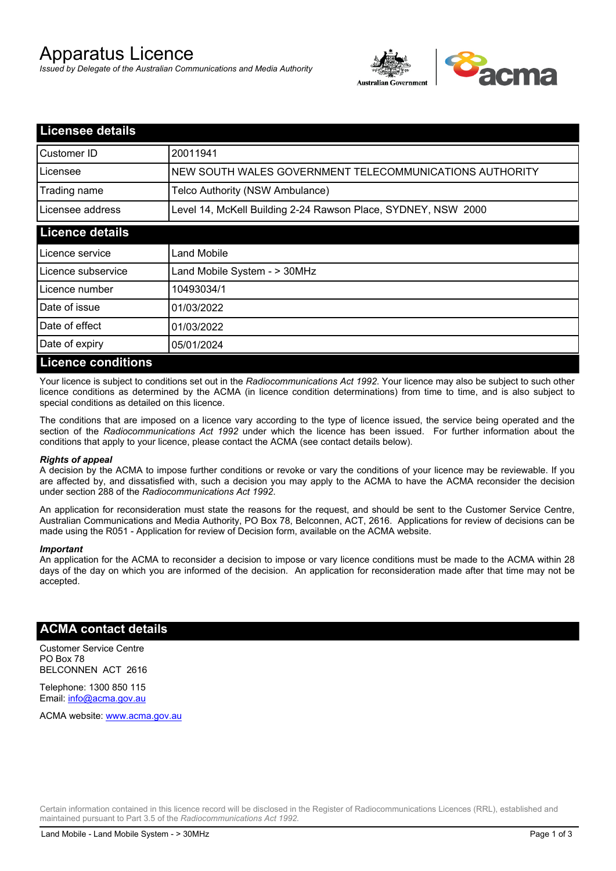# Apparatus Licence

*Issued by Delegate of the Australian Communications and Media Authority*



| <b>Licensee details</b>   |                                                               |
|---------------------------|---------------------------------------------------------------|
| Customer ID               | 20011941                                                      |
| Licensee                  | NEW SOUTH WALES GOVERNMENT TELECOMMUNICATIONS AUTHORITY       |
| Trading name              | Telco Authority (NSW Ambulance)                               |
| Licensee address          | Level 14, McKell Building 2-24 Rawson Place, SYDNEY, NSW 2000 |
| <b>Licence details</b>    |                                                               |
| l Licence service         | <b>Land Mobile</b>                                            |
| Licence subservice        | Land Mobile System - > 30MHz                                  |
| Licence number            | 10493034/1                                                    |
| Date of issue             | 01/03/2022                                                    |
| Date of effect            | 01/03/2022                                                    |
| Date of expiry            | 05/01/2024                                                    |
| <b>Licence conditions</b> |                                                               |

Your licence is subject to conditions set out in the *Radiocommunications Act 1992*. Your licence may also be subject to such other licence conditions as determined by the ACMA (in licence condition determinations) from time to time, and is also subject to special conditions as detailed on this licence.

The conditions that are imposed on a licence vary according to the type of licence issued, the service being operated and the section of the *Radiocommunications Act 1992* under which the licence has been issued. For further information about the conditions that apply to your licence, please contact the ACMA (see contact details below).

#### *Rights of appeal*

A decision by the ACMA to impose further conditions or revoke or vary the conditions of your licence may be reviewable. If you are affected by, and dissatisfied with, such a decision you may apply to the ACMA to have the ACMA reconsider the decision under section 288 of the *Radiocommunications Act 1992*.

An application for reconsideration must state the reasons for the request, and should be sent to the Customer Service Centre, Australian Communications and Media Authority, PO Box 78, Belconnen, ACT, 2616. Applications for review of decisions can be made using the R051 - Application for review of Decision form, available on the ACMA website.

#### *Important*

An application for the ACMA to reconsider a decision to impose or vary licence conditions must be made to the ACMA within 28 days of the day on which you are informed of the decision. An application for reconsideration made after that time may not be accepted.

### **ACMA contact details**

Customer Service Centre PO Box 78 BELCONNEN ACT 2616

Telephone: 1300 850 115 Email: info@acma.gov.au

ACMA website: www.acma.gov.au

Certain information contained in this licence record will be disclosed in the Register of Radiocommunications Licences (RRL), established and maintained pursuant to Part 3.5 of the *Radiocommunications Act 1992.*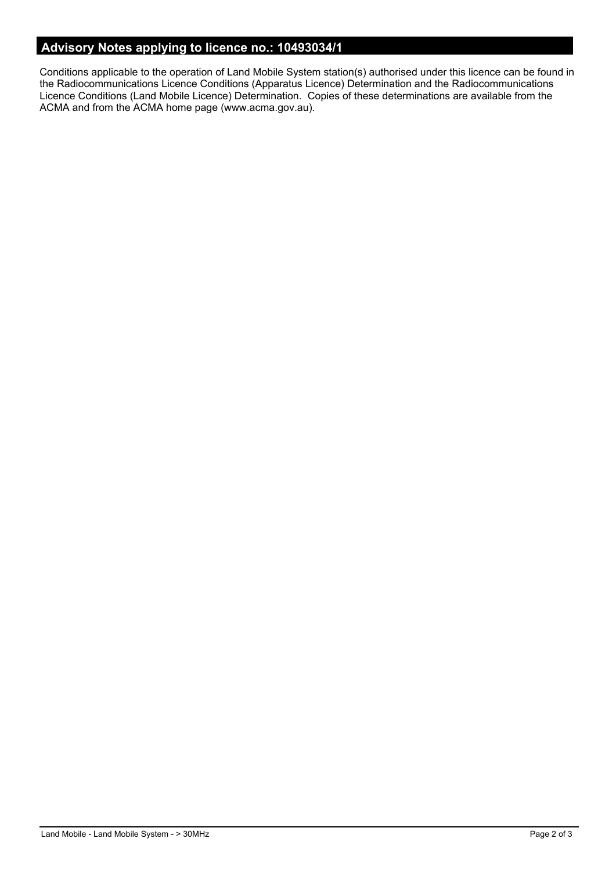# **Advisory Notes applying to licence no.: 10493034/1**

Conditions applicable to the operation of Land Mobile System station(s) authorised under this licence can be found in the Radiocommunications Licence Conditions (Apparatus Licence) Determination and the Radiocommunications Licence Conditions (Land Mobile Licence) Determination. Copies of these determinations are available from the ACMA and from the ACMA home page (www.acma.gov.au).